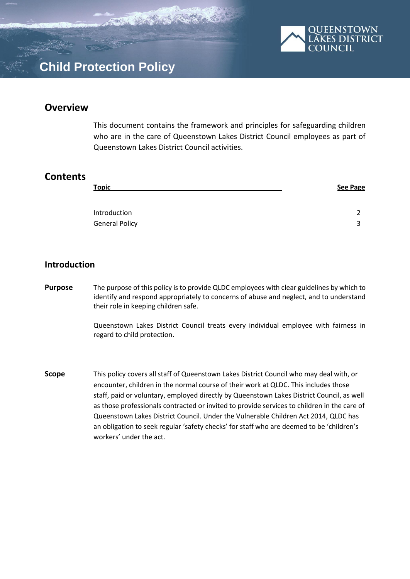

## **Overview**

This document contains the framework and principles for safeguarding children who are in the care of Queenstown Lakes District Council employees as part of Queenstown Lakes District Council activities.

## **Contents**

| <b>Topic</b>          | <b>See Page</b> |
|-----------------------|-----------------|
|                       |                 |
| Introduction          | ∽               |
| <b>General Policy</b> | ີ               |

## **Introduction**

**Purpose** The purpose of this policy is to provide QLDC employees with clear guidelines by which to identify and respond appropriately to concerns of abuse and neglect, and to understand their role in keeping children safe.

> Queenstown Lakes District Council treats every individual employee with fairness in regard to child protection.

**Scope** This policy covers all staff of Queenstown Lakes District Council who may deal with, or encounter, children in the normal course of their work at QLDC. This includes those staff, paid or voluntary, employed directly by Queenstown Lakes District Council, as well as those professionals contracted or invited to provide services to children in the care of Queenstown Lakes District Council. Under the Vulnerable Children Act 2014, QLDC has an obligation to seek regular 'safety checks' for staff who are deemed to be 'children's workers' under the act.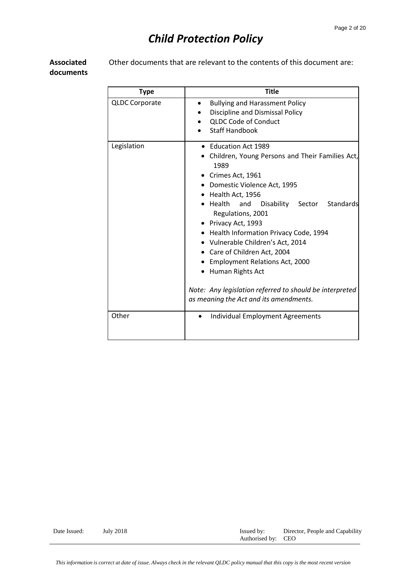**Associated documents** Other documents that are relevant to the contents of this document are:

| <b>Type</b>           | <b>Title</b>                                                                                                                                                                                                                                                                                                                                                                                                                                                                                                                         |  |  |  |
|-----------------------|--------------------------------------------------------------------------------------------------------------------------------------------------------------------------------------------------------------------------------------------------------------------------------------------------------------------------------------------------------------------------------------------------------------------------------------------------------------------------------------------------------------------------------------|--|--|--|
| <b>QLDC Corporate</b> | <b>Bullying and Harassment Policy</b><br>$\bullet$<br>Discipline and Dismissal Policy<br><b>QLDC Code of Conduct</b><br><b>Staff Handbook</b>                                                                                                                                                                                                                                                                                                                                                                                        |  |  |  |
| Legislation           | • Education Act 1989<br>Children, Young Persons and Their Families Act,<br>1989<br>• Crimes Act, 1961<br>• Domestic Violence Act, 1995<br>• Health Act, 1956<br>Disability Sector Standards<br>Health and<br>Regulations, 2001<br>• Privacy Act, 1993<br>• Health Information Privacy Code, 1994<br>• Vulnerable Children's Act, 2014<br>• Care of Children Act, 2004<br>• Employment Relations Act, 2000<br>• Human Rights Act<br>Note: Any legislation referred to should be interpreted<br>as meaning the Act and its amendments. |  |  |  |
| Other                 | <b>Individual Employment Agreements</b><br>$\bullet$                                                                                                                                                                                                                                                                                                                                                                                                                                                                                 |  |  |  |

Date Issued: July 2018 Issued by: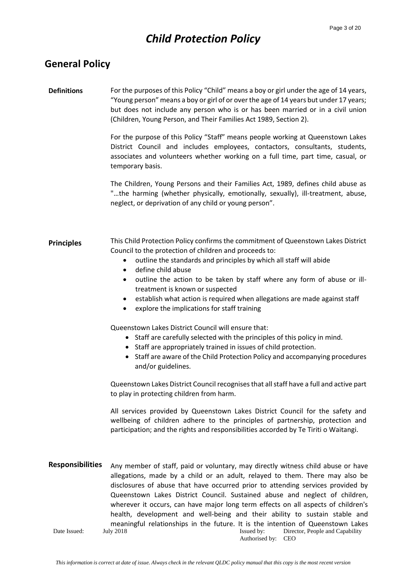## **General Policy**

### **Definitions** For the purposes of this Policy "Child" means a boy or girl under the age of 14 years, "Young person" means a boy or girl of or over the age of 14 years but under 17 years; but does not include any person who is or has been married or in a civil union (Children, Young Person, and Their Families Act 1989, Section 2).

For the purpose of this Policy "Staff" means people working at Queenstown Lakes District Council and includes employees, contactors, consultants, students, associates and volunteers whether working on a full time, part time, casual, or temporary basis.

The Children, Young Persons and their Families Act, 1989, defines child abuse as "…the harming (whether physically, emotionally, sexually), ill-treatment, abuse, neglect, or deprivation of any child or young person".

#### **Principles** This Child Protection Policy confirms the commitment of Queenstown Lakes District Council to the protection of children and proceeds to:

- outline the standards and principles by which all staff will abide
- define child abuse
- outline the action to be taken by staff where any form of abuse or illtreatment is known or suspected
- establish what action is required when allegations are made against staff
- explore the implications for staff training

Queenstown Lakes District Council will ensure that:

- Staff are carefully selected with the principles of this policy in mind.
- Staff are appropriately trained in issues of child protection.
- Staff are aware of the Child Protection Policy and accompanying procedures and/or guidelines.

Queenstown Lakes District Council recognises that all staff have a full and active part to play in protecting children from harm.

All services provided by Queenstown Lakes District Council for the safety and wellbeing of children adhere to the principles of partnership, protection and participation; and the rights and responsibilities accorded by Te Tiriti o Waitangi.

Date Issued: July 2018 Issued by: Authorised by: CEO Director, People and Capability **Responsibilities** Any member of staff, paid or voluntary, may directly witness child abuse or have allegations, made by a child or an adult, relayed to them. There may also be disclosures of abuse that have occurred prior to attending services provided by Queenstown Lakes District Council. Sustained abuse and neglect of children, wherever it occurs, can have major long term effects on all aspects of children's health, development and well-being and their ability to sustain stable and meaningful relationships in the future. It is the intention of Queenstown Lakes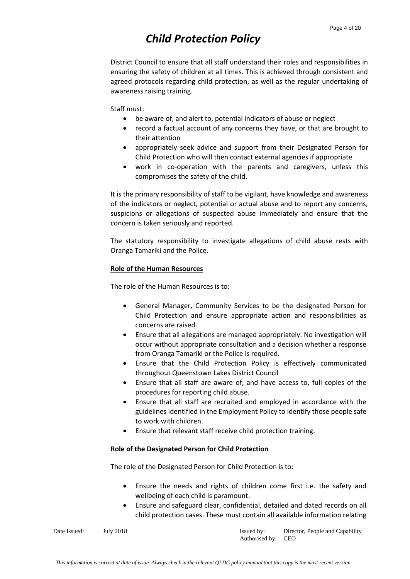District Council to ensure that all staff understand their roles and responsibilities in ensuring the safety of children at all times. This is achieved through consistent and agreed protocols regarding child protection, as well as the regular undertaking of awareness raising training.

Staff must:

- be aware of, and alert to, potential indicators of abuse or neglect
- record a factual account of any concerns they have, or that are brought to their attention
- appropriately seek advice and support from their Designated Person for Child Protection who will then contact external agencies if appropriate
- work in co-operation with the parents and caregivers, unless this compromises the safety of the child.

It is the primary responsibility of staff to be vigilant, have knowledge and awareness of the indicators or neglect, potential or actual abuse and to report any concerns, suspicions or allegations of suspected abuse immediately and ensure that the concern is taken seriously and reported.

The statutory responsibility to investigate allegations of child abuse rests with Oranga Tamariki and the Police.

### **Role of the Human Resources**

The role of the Human Resources is to:

- General Manager, Community Services to be the designated Person for Child Protection and ensure appropriate action and responsibilities as concerns are raised.
- Ensure that all allegations are managed appropriately. No investigation will occur without appropriate consultation and a decision whether a response from Oranga Tamariki or the Police is required.
- Ensure that the Child Protection Policy is effectively communicated throughout Queenstown Lakes District Council
- Ensure that all staff are aware of, and have access to, full copies of the procedures for reporting child abuse.
- Ensure that all staff are recruited and employed in accordance with the guidelines identified in the Employment Policy to identify those people safe to work with children.
- Ensure that relevant staff receive child protection training.

### **Role of the Designated Person for Child Protection**

The role of the Designated Person for Child Protection is to:

- Ensure the needs and rights of children come first i.e. the safety and wellbeing of each child is paramount.
- Ensure and safeguard clear, confidential, detailed and dated records on all child protection cases. These must contain all available information relating

Date Issued: July 2018 Issued by: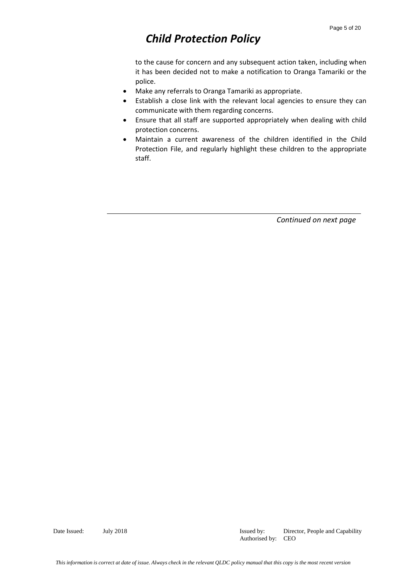to the cause for concern and any subsequent action taken, including when it has been decided not to make a notification to Oranga Tamariki or the police.

- Make any referrals to Oranga Tamariki as appropriate.
- Establish a close link with the relevant local agencies to ensure they can communicate with them regarding concerns.
- Ensure that all staff are supported appropriately when dealing with child protection concerns.
- Maintain a current awareness of the children identified in the Child Protection File, and regularly highlight these children to the appropriate staff.

*Continued on next page*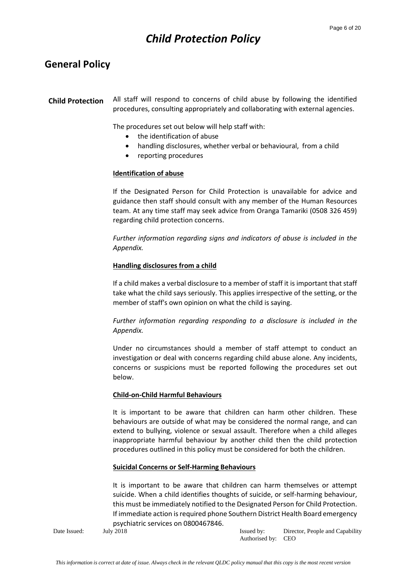## **General Policy**

**Child Protection** All staff will respond to concerns of child abuse by following the identified procedures, consulting appropriately and collaborating with external agencies.

The procedures set out below will help staff with:

- the identification of abuse
- handling disclosures, whether verbal or behavioural, from a child
- reporting procedures

### **Identification of abuse**

If the Designated Person for Child Protection is unavailable for advice and guidance then staff should consult with any member of the Human Resources team. At any time staff may seek advice from Oranga Tamariki (0508 326 459) regarding child protection concerns.

*Further information regarding signs and indicators of abuse is included in the Appendix.*

### **Handling disclosures from a child**

If a child makes a verbal disclosure to a member of staff it is important that staff take what the child says seriously. This applies irrespective of the setting, or the member of staff's own opinion on what the child is saying.

*Further information regarding responding to a disclosure is included in the Appendix.*

Under no circumstances should a member of staff attempt to conduct an investigation or deal with concerns regarding child abuse alone. Any incidents, concerns or suspicions must be reported following the procedures set out below.

### **Child-on-Child Harmful Behaviours**

It is important to be aware that children can harm other children. These behaviours are outside of what may be considered the normal range, and can extend to bullying, violence or sexual assault. Therefore when a child alleges inappropriate harmful behaviour by another child then the child protection procedures outlined in this policy must be considered for both the children.

### **Suicidal Concerns or Self-Harming Behaviours**

It is important to be aware that children can harm themselves or attempt suicide. When a child identifies thoughts of suicide, or self-harming behaviour, this must be immediately notified to the Designated Person for Child Protection. If immediate action is required phone Southern District Health Board emergency psychiatric services on 0800467846.

Date Issued: July 2018 Issued by: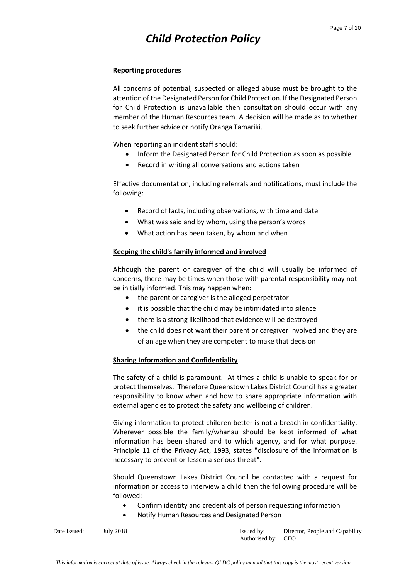### **Reporting procedures**

All concerns of potential, suspected or alleged abuse must be brought to the attention of the Designated Person for Child Protection. If the Designated Person for Child Protection is unavailable then consultation should occur with any member of the Human Resources team. A decision will be made as to whether to seek further advice or notify Oranga Tamariki.

When reporting an incident staff should:

- Inform the Designated Person for Child Protection as soon as possible
- Record in writing all conversations and actions taken

Effective documentation, including referrals and notifications, must include the following:

- Record of facts, including observations, with time and date
- What was said and by whom, using the person's words
- What action has been taken, by whom and when

### **Keeping the child's family informed and involved**

Although the parent or caregiver of the child will usually be informed of concerns, there may be times when those with parental responsibility may not be initially informed. This may happen when:

- the parent or caregiver is the alleged perpetrator
- it is possible that the child may be intimidated into silence
- there is a strong likelihood that evidence will be destroyed
- the child does not want their parent or caregiver involved and they are of an age when they are competent to make that decision

### **Sharing Information and Confidentiality**

The safety of a child is paramount. At times a child is unable to speak for or protect themselves. Therefore Queenstown Lakes District Council has a greater responsibility to know when and how to share appropriate information with external agencies to protect the safety and wellbeing of children.

Giving information to protect children better is not a breach in confidentiality. Wherever possible the family/whanau should be kept informed of what information has been shared and to which agency, and for what purpose. Principle 11 of the Privacy Act, 1993, states "disclosure of the information is necessary to prevent or lessen a serious threat".

Should Queenstown Lakes District Council be contacted with a request for information or access to interview a child then the following procedure will be followed:

- Confirm identity and credentials of person requesting information
- Notify Human Resources and Designated Person

| Date Issued: | July: |
|--------------|-------|
|              |       |

 $\sqrt{2018}$  Issued by: Authorised by: CEO Director, People and Capability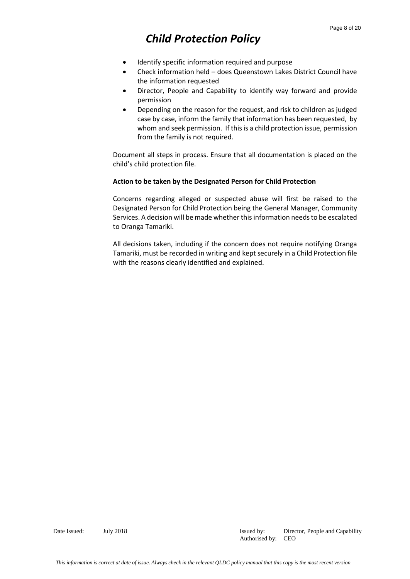- Identify specific information required and purpose
- Check information held does Queenstown Lakes District Council have the information requested
- Director, People and Capability to identify way forward and provide permission
- Depending on the reason for the request, and risk to children as judged case by case, inform the family that information has been requested, by whom and seek permission. If this is a child protection issue, permission from the family is not required.

Document all steps in process. Ensure that all documentation is placed on the child's child protection file.

### **Action to be taken by the Designated Person for Child Protection**

Concerns regarding alleged or suspected abuse will first be raised to the Designated Person for Child Protection being the General Manager, Community Services. A decision will be made whether this information needs to be escalated to Oranga Tamariki.

All decisions taken, including if the concern does not require notifying Oranga Tamariki, must be recorded in writing and kept securely in a Child Protection file with the reasons clearly identified and explained.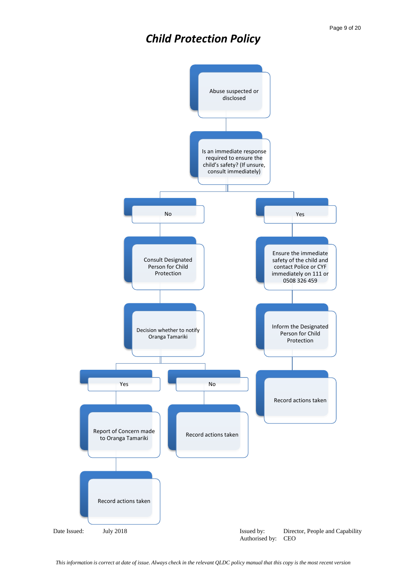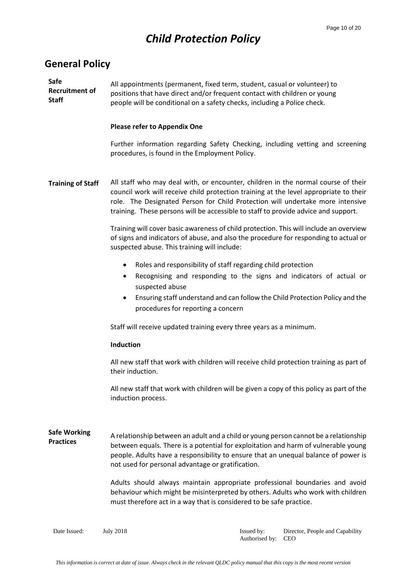## **General Policy**

**Safe Recruitment of Staff** All appointments (permanent, fixed term, student, casual or volunteer) to positions that have direct and/or frequent contact with children or young people will be conditional on a safety checks, including a Police check.

### **Please refer to Appendix One**

Further information regarding Safety Checking, including vetting and screening procedures, is found in the Employment Policy.

**Training of Staff** All staff who may deal with, or encounter, children in the normal course of their council work will receive child protection training at the level appropriate to their role. The Designated Person for Child Protection will undertake more intensive training. These persons will be accessible to staff to provide advice and support.

> Training will cover basic awareness of child protection. This will include an overview of signs and indicators of abuse, and also the procedure for responding to actual or suspected abuse. This training will include:

- Roles and responsibility of staff regarding child protection
- Recognising and responding to the signs and indicators of actual or suspected abuse
- Ensuring staff understand and can follow the Child Protection Policy and the procedures for reporting a concern

Staff will receive updated training every three years as a minimum.

### **Induction**

All new staff that work with children will receive child protection training as part of their induction.

All new staff that work with children will be given a copy of this policy as part of the induction process.

**Safe Working Practices** A relationship between an adult and a child or young person cannot be a relationship between equals. There is a potential for exploitation and harm of vulnerable young people. Adults have a responsibility to ensure that an unequal balance of power is not used for personal advantage or gratification.

> Adults should always maintain appropriate professional boundaries and avoid behaviour which might be misinterpreted by others. Adults who work with children must therefore act in a way that is considered to be safe practice.

Date Issued: July 2018 Issued by: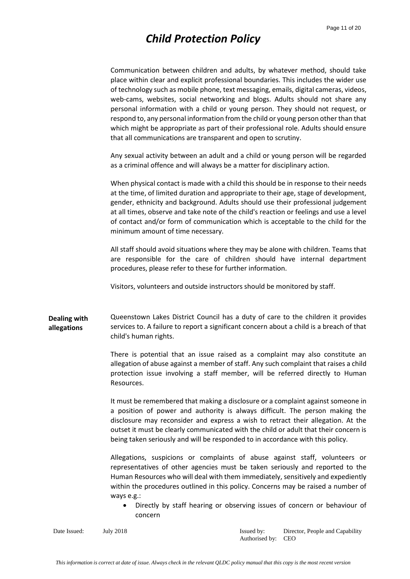Communication between children and adults, by whatever method, should take place within clear and explicit professional boundaries. This includes the wider use of technology such as mobile phone, text messaging, emails, digital cameras, videos, web-cams, websites, social networking and blogs. Adults should not share any personal information with a child or young person. They should not request, or respond to, any personal information from the child or young person other than that which might be appropriate as part of their professional role. Adults should ensure that all communications are transparent and open to scrutiny.

Any sexual activity between an adult and a child or young person will be regarded as a criminal offence and will always be a matter for disciplinary action.

When physical contact is made with a child this should be in response to their needs at the time, of limited duration and appropriate to their age, stage of development, gender, ethnicity and background. Adults should use their professional judgement at all times, observe and take note of the child's reaction or feelings and use a level of contact and/or form of communication which is acceptable to the child for the minimum amount of time necessary.

All staff should avoid situations where they may be alone with children. Teams that are responsible for the care of children should have internal department procedures, please refer to these for further information.

Visitors, volunteers and outside instructors should be monitored by staff.

**Dealing with allegations** Queenstown Lakes District Council has a duty of care to the children it provides services to. A failure to report a significant concern about a child is a breach of that child's human rights.

> There is potential that an issue raised as a complaint may also constitute an allegation of abuse against a member of staff. Any such complaint that raises a child protection issue involving a staff member, will be referred directly to Human Resources.

> It must be remembered that making a disclosure or a complaint against someone in a position of power and authority is always difficult. The person making the disclosure may reconsider and express a wish to retract their allegation. At the outset it must be clearly communicated with the child or adult that their concern is being taken seriously and will be responded to in accordance with this policy.

> Allegations, suspicions or complaints of abuse against staff, volunteers or representatives of other agencies must be taken seriously and reported to the Human Resources who will deal with them immediately, sensitively and expediently within the procedures outlined in this policy. Concerns may be raised a number of ways e.g.:

 Directly by staff hearing or observing issues of concern or behaviour of concern

Date Issued: July 2018 Issued by: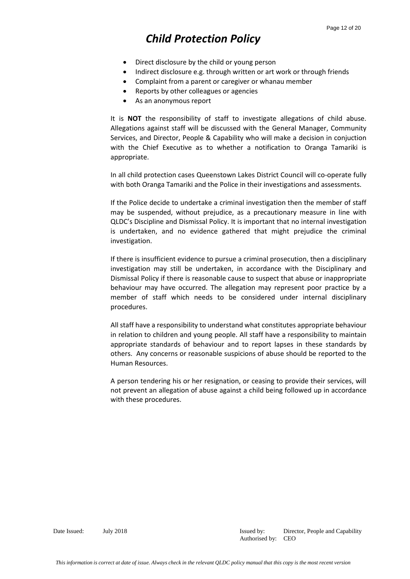- Direct disclosure by the child or young person
- Indirect disclosure e.g. through written or art work or through friends
- Complaint from a parent or caregiver or whanau member
- Reports by other colleagues or agencies
- As an anonymous report

It is **NOT** the responsibility of staff to investigate allegations of child abuse. Allegations against staff will be discussed with the General Manager, Community Services, and Director, People & Capability who will make a decision in conjuction with the Chief Executive as to whether a notification to Oranga Tamariki is appropriate.

In all child protection cases Queenstown Lakes District Council will co-operate fully with both Oranga Tamariki and the Police in their investigations and assessments.

If the Police decide to undertake a criminal investigation then the member of staff may be suspended, without prejudice, as a precautionary measure in line with QLDC's Discipline and Dismissal Policy. It is important that no internal investigation is undertaken, and no evidence gathered that might prejudice the criminal investigation.

If there is insufficient evidence to pursue a criminal prosecution, then a disciplinary investigation may still be undertaken, in accordance with the Disciplinary and Dismissal Policy if there is reasonable cause to suspect that abuse or inappropriate behaviour may have occurred. The allegation may represent poor practice by a member of staff which needs to be considered under internal disciplinary procedures.

All staff have a responsibility to understand what constitutes appropriate behaviour in relation to children and young people. All staff have a responsibility to maintain appropriate standards of behaviour and to report lapses in these standards by others. Any concerns or reasonable suspicions of abuse should be reported to the Human Resources.

A person tendering his or her resignation, or ceasing to provide their services, will not prevent an allegation of abuse against a child being followed up in accordance with these procedures.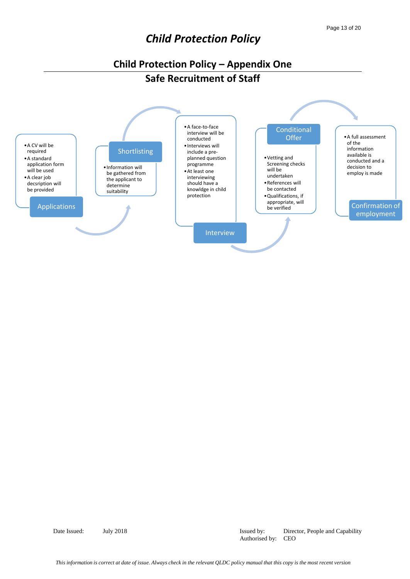## **Child Protection Policy – Appendix One Safe Recruitment of Staff**



Date Issued: July 2018 Issued by: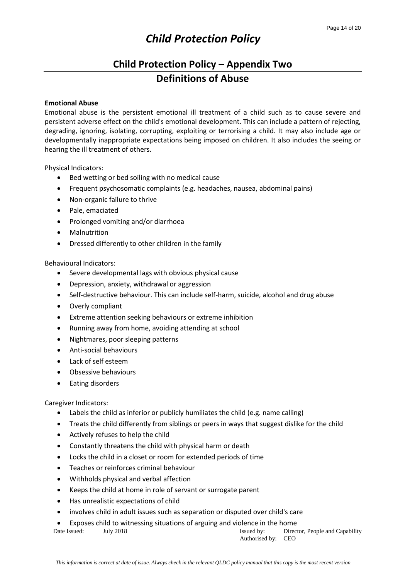## **Child Protection Policy – Appendix Two Definitions of Abuse**

### **Emotional Abuse**

Emotional abuse is the persistent emotional ill treatment of a child such as to cause severe and persistent adverse effect on the child's emotional development. This can include a pattern of rejecting, degrading, ignoring, isolating, corrupting, exploiting or terrorising a child. It may also include age or developmentally inappropriate expectations being imposed on children. It also includes the seeing or hearing the ill treatment of others.

Physical Indicators:

- Bed wetting or bed soiling with no medical cause
- Frequent psychosomatic complaints (e.g. headaches, nausea, abdominal pains)
- Non-organic failure to thrive
- Pale, emaciated
- Prolonged vomiting and/or diarrhoea
- Malnutrition
- Dressed differently to other children in the family

Behavioural Indicators:

- Severe developmental lags with obvious physical cause
- Depression, anxiety, withdrawal or aggression
- Self-destructive behaviour. This can include self-harm, suicide, alcohol and drug abuse
- Overly compliant
- Extreme attention seeking behaviours or extreme inhibition
- Running away from home, avoiding attending at school
- Nightmares, poor sleeping patterns
- Anti-social behaviours
- Lack of self esteem
- Obsessive behaviours
- Eating disorders

Caregiver Indicators:

- Labels the child as inferior or publicly humiliates the child (e.g. name calling)
- Treats the child differently from siblings or peers in ways that suggest dislike for the child
- Actively refuses to help the child
- Constantly threatens the child with physical harm or death
- Locks the child in a closet or room for extended periods of time
- Teaches or reinforces criminal behaviour
- Withholds physical and verbal affection
- Keeps the child at home in role of servant or surrogate parent
- Has unrealistic expectations of child
- involves child in adult issues such as separation or disputed over child's care
- Exposes child to witnessing situations of arguing and violence in the home

| Date Issued: | July 2018 |  | Issued by:         | Director, People and Capability |
|--------------|-----------|--|--------------------|---------------------------------|
|              |           |  | Authorised by: CEO |                                 |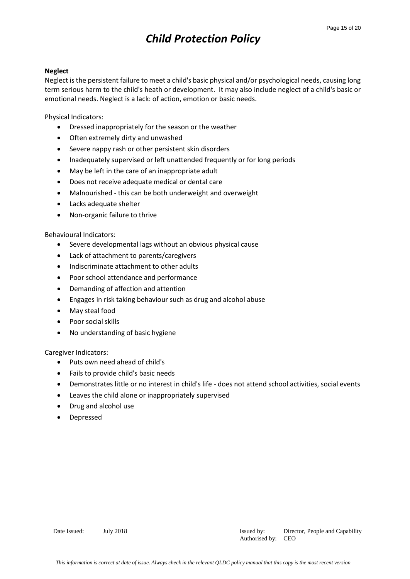### **Neglect**

Neglect is the persistent failure to meet a child's basic physical and/or psychological needs, causing long term serious harm to the child's heath or development. It may also include neglect of a child's basic or emotional needs. Neglect is a lack: of action, emotion or basic needs.

Physical Indicators:

- Dressed inappropriately for the season or the weather
- Often extremely dirty and unwashed
- Severe nappy rash or other persistent skin disorders
- Inadequately supervised or left unattended frequently or for long periods
- May be left in the care of an inappropriate adult
- Does not receive adequate medical or dental care
- Malnourished this can be both underweight and overweight
- Lacks adequate shelter
- Non-organic failure to thrive

### Behavioural Indicators:

- Severe developmental lags without an obvious physical cause
- Lack of attachment to parents/caregivers
- Indiscriminate attachment to other adults
- Poor school attendance and performance
- Demanding of affection and attention
- Engages in risk taking behaviour such as drug and alcohol abuse
- May steal food
- Poor social skills
- No understanding of basic hygiene

Caregiver Indicators:

- Puts own need ahead of child's
- Fails to provide child's basic needs
- Demonstrates little or no interest in child's life does not attend school activities, social events
- Leaves the child alone or inappropriately supervised
- Drug and alcohol use
- Depressed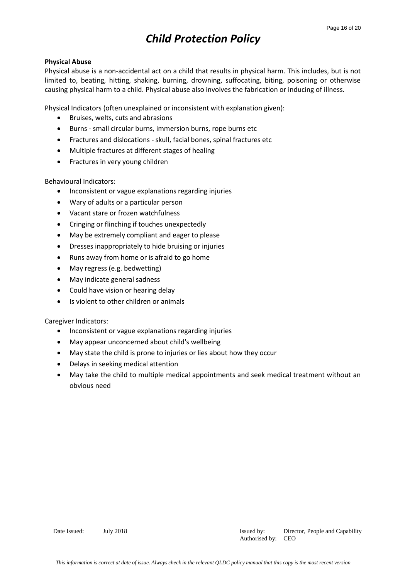### **Physical Abuse**

Physical abuse is a non-accidental act on a child that results in physical harm. This includes, but is not limited to, beating, hitting, shaking, burning, drowning, suffocating, biting, poisoning or otherwise causing physical harm to a child. Physical abuse also involves the fabrication or inducing of illness.

Physical Indicators (often unexplained or inconsistent with explanation given):

- Bruises, welts, cuts and abrasions
- Burns small circular burns, immersion burns, rope burns etc
- Fractures and dislocations skull, facial bones, spinal fractures etc
- Multiple fractures at different stages of healing
- Fractures in very young children

Behavioural Indicators:

- Inconsistent or vague explanations regarding injuries
- Wary of adults or a particular person
- Vacant stare or frozen watchfulness
- Cringing or flinching if touches unexpectedly
- May be extremely compliant and eager to please
- Dresses inappropriately to hide bruising or injuries
- Runs away from home or is afraid to go home
- May regress (e.g. bedwetting)
- May indicate general sadness
- Could have vision or hearing delay
- Is violent to other children or animals

Caregiver Indicators:

- Inconsistent or vague explanations regarding injuries
- May appear unconcerned about child's wellbeing
- May state the child is prone to injuries or lies about how they occur
- Delays in seeking medical attention
- May take the child to multiple medical appointments and seek medical treatment without an obvious need

Date Issued: July 2018 Issued by: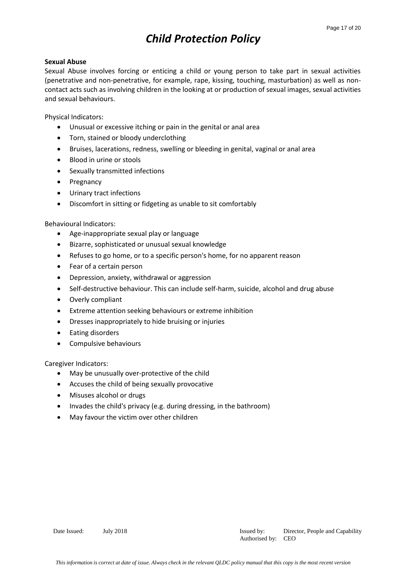### **Sexual Abuse**

Sexual Abuse involves forcing or enticing a child or young person to take part in sexual activities (penetrative and non-penetrative, for example, rape, kissing, touching, masturbation) as well as noncontact acts such as involving children in the looking at or production of sexual images, sexual activities and sexual behaviours.

Physical Indicators:

- Unusual or excessive itching or pain in the genital or anal area
- Torn, stained or bloody underclothing
- Bruises, lacerations, redness, swelling or bleeding in genital, vaginal or anal area
- Blood in urine or stools
- Sexually transmitted infections
- Pregnancy
- Urinary tract infections
- Discomfort in sitting or fidgeting as unable to sit comfortably

Behavioural Indicators:

- Age-inappropriate sexual play or language
- Bizarre, sophisticated or unusual sexual knowledge
- Refuses to go home, or to a specific person's home, for no apparent reason
- Fear of a certain person
- Depression, anxiety, withdrawal or aggression
- Self-destructive behaviour. This can include self-harm, suicide, alcohol and drug abuse
- Overly compliant
- Extreme attention seeking behaviours or extreme inhibition
- Dresses inappropriately to hide bruising or injuries
- Eating disorders
- Compulsive behaviours

Caregiver Indicators:

- May be unusually over-protective of the child
- Accuses the child of being sexually provocative
- Misuses alcohol or drugs
- Invades the child's privacy (e.g. during dressing, in the bathroom)
- May favour the victim over other children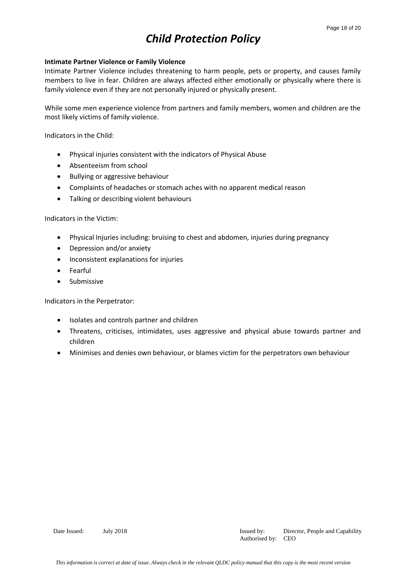### **Intimate Partner Violence or Family Violence**

Intimate Partner Violence includes threatening to harm people, pets or property, and causes family members to live in fear. Children are always affected either emotionally or physically where there is family violence even if they are not personally injured or physically present.

While some men experience violence from partners and family members, women and children are the most likely victims of family violence.

Indicators in the Child:

- Physical injuries consistent with the indicators of Physical Abuse
- Absenteeism from school
- Bullying or aggressive behaviour
- Complaints of headaches or stomach aches with no apparent medical reason
- Talking or describing violent behaviours

Indicators in the Victim:

- Physical Injuries including: bruising to chest and abdomen, injuries during pregnancy
- Depression and/or anxiety
- Inconsistent explanations for injuries
- Fearful
- Submissive

Indicators in the Perpetrator:

- Isolates and controls partner and children
- Threatens, criticises, intimidates, uses aggressive and physical abuse towards partner and children
- Minimises and denies own behaviour, or blames victim for the perpetrators own behaviour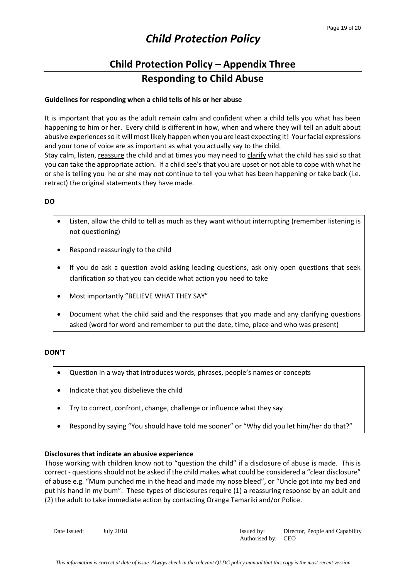## **Child Protection Policy – Appendix Three Responding to Child Abuse**

### **Guidelines for responding when a child tells of his or her abuse**

It is important that you as the adult remain calm and confident when a child tells you what has been happening to him or her. Every child is different in how, when and where they will tell an adult about abusive experiences so it will most likely happen when you are least expecting it! Your facial expressions and your tone of voice are as important as what you actually say to the child.

Stay calm, listen, reassure the child and at times you may need to clarify what the child has said so that you can take the appropriate action. If a child see's that you are upset or not able to cope with what he or she is telling you he or she may not continue to tell you what has been happening or take back (i.e. retract) the original statements they have made.

### **DO**

- Listen, allow the child to tell as much as they want without interrupting (remember listening is not questioning)
- Respond reassuringly to the child
- If you do ask a question avoid asking leading questions, ask only open questions that seek clarification so that you can decide what action you need to take
- Most importantly "BELIEVE WHAT THEY SAY"
- Document what the child said and the responses that you made and any clarifying questions asked (word for word and remember to put the date, time, place and who was present)

### **DON'T**

- Question in a way that introduces words, phrases, people's names or concepts
- Indicate that you disbelieve the child
- Try to correct, confront, change, challenge or influence what they say
- Respond by saying "You should have told me sooner" or "Why did you let him/her do that?"

### **Disclosures that indicate an abusive experience**

Those working with children know not to "question the child" if a disclosure of abuse is made. This is correct - questions should not be asked if the child makes what could be considered a "clear disclosure" of abuse e.g. "Mum punched me in the head and made my nose bleed", or "Uncle got into my bed and put his hand in my bum". These types of disclosures require (1) a reassuring response by an adult and (2) the adult to take immediate action by contacting Oranga Tamariki and/or Police.

Date Issued: July 2018 Issued by: